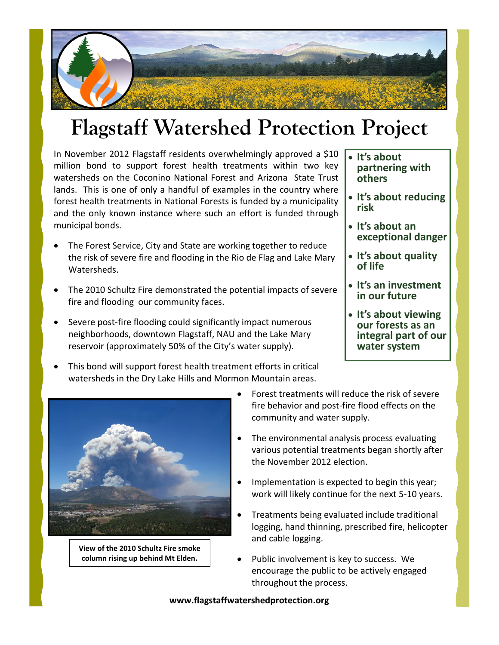# **Flagstaff Watershed Protection Project**

In November 2012 Flagstaff residents overwhelmingly approved a \$10 million bond to support forest health treatments within two key watersheds on the Coconino National Forest and Arizona State Trust lands. This is one of only a handful of examples in the country where forest health treatments in National Forests is funded by a municipality and the only known instance where such an effort is funded through municipal bonds.

- The Forest Service, City and State are working together to reduce the risk of severe fire and flooding in the Rio de Flag and Lake Mary Watersheds.
- The 2010 Schultz Fire demonstrated the potential impacts of severe fire and flooding our community faces.
- Severe post-fire flooding could significantly impact numerous neighborhoods, downtown Flagstaff, NAU and the Lake Mary reservoir (approximately 50% of the City's water supply).
- This bond will support forest health treatment efforts in critical watersheds in the Dry Lake Hills and Mormon Mountain areas.
- **It's about partnering with others**
- **It's about reducing risk**
- **It's about an exceptional danger**
- **It's about quality of life**
- **It's an investment in our future**
- **It's about viewing our forests as an integral part of our water system**



**View of the 2010 Schultz Fire smoke column rising up behind Mt Elden.**

- Forest treatments will reduce the risk of severe fire behavior and post-fire flood effects on the community and water supply.
- The environmental analysis process evaluating various potential treatments began shortly after the November 2012 election.
- Implementation is expected to begin this year; work will likely continue for the next 5-10 years.
- Treatments being evaluated include traditional logging, hand thinning, prescribed fire, helicopter and cable logging.
- Public involvement is key to success. We encourage the public to be actively engaged throughout the process.